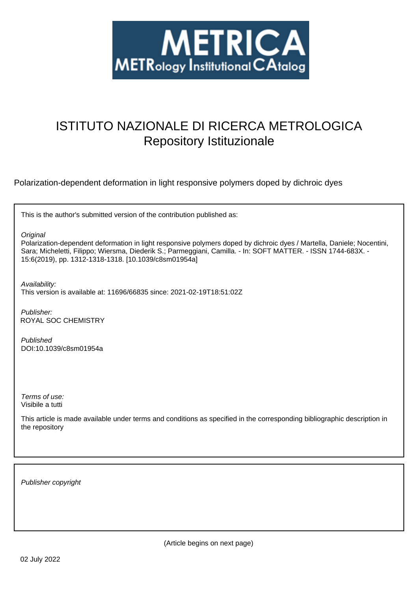

# ISTITUTO NAZIONALE DI RICERCA METROLOGICA Repository Istituzionale

Polarization-dependent deformation in light responsive polymers doped by dichroic dyes

This is the author's submitted version of the contribution published as:

**Original** 

Polarization-dependent deformation in light responsive polymers doped by dichroic dyes / Martella, Daniele; Nocentini, Sara; Micheletti, Filippo; Wiersma, Diederik S.; Parmeggiani, Camilla. - In: SOFT MATTER. - ISSN 1744-683X. - 15:6(2019), pp. 1312-1318-1318. [10.1039/c8sm01954a]

Availability:

This version is available at: 11696/66835 since: 2021-02-19T18:51:02Z

Publisher: ROYAL SOC CHEMISTRY

Published DOI:10.1039/c8sm01954a

Terms of use: Visibile a tutti

This article is made available under terms and conditions as specified in the corresponding bibliographic description in the repository

Publisher copyright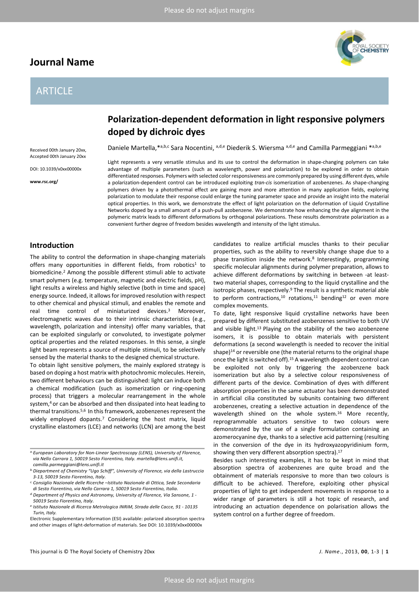## **Journal Name**

## ARTICLE

Received 00th January 20xx, Accepted 00th January 20xx DOI: 10.1039/x0xx00000x

**www.rsc.org/**



## **Polarization-dependent deformation in light responsive polymers doped by dichroic dyes**

Daniele Martella, \*a,b,c Sara Nocentini, a,d,e Diederik S. Wiersma a,d,e and Camilla Parmeggiani \*a,b,e

Light represents a very versatile stimulus and its use to control the deformation in shape-changing polymers can take advantage of multiple parameters (such as wavelength, power and polarization) to be explored in order to obtain differentiated responses. Polymers with selected color responsiveness are commonly prepared by using different dyes, while a polarization-dependent control can be introduced exploiting *tran*-*cis* isomerization of azobenzenes. As shape-changing polymers driven by a photothermal effect are gaining more and more attention in many application fields, exploring polarization to modulate their response could enlarge the tuning parameter space and provide an insight into the material optical properties. In this work, we demonstrate the effect of light polarization on the deformation of Liquid Crystalline Networks doped by a small amount of a push-pull azobenzene. We demonstrate how enhancing the dye alignment in the polymeric matrix leads to different deformations by orthogonal polarizations. These results demonstrate polarization as a convenient further degree of freedom besides wavelength and intensity of the light stimulus.

### **Introduction**

The ability to control the deformation in shape-changing materials offers many opportunities in different fields, from robotics<sup>1</sup> to biomedicine.2 Among the possible different stimuli able to activate smart polymers (e.g. temperature, magnetic and electric fields, pH), light results a wireless and highly selective (both in time and space) energy source. Indeed, it allows for improved resolution with respect to other chemical and physical stimuli, and enables the remote and real time control of miniaturized devices. <sup>3</sup> Moreover, electromagnetic waves due to their intrinsic characteristics (e.g., wavelength, polarization and intensity) offer many variables, that can be exploited singularly or convoluted, to investigate polymer optical properties and the related responses. In this sense, a single light beam represents a source of multiple stimuli, to be selectively sensed by the material thanks to the designed chemical structure.

To obtain light sensitive polymers, the mainly explored strategy is based on doping a host matrix with photochromic molecules. Herein, two different behaviours can be distinguished: light can induce both a chemical modification (such as isomerization or ring-opening process) that triggers a molecular rearrangement in the whole system, <sup>4</sup> or can be absorbed and then dissipated into heat leading to thermal transitions.5,6 In this framework, azobenzenes represent the widely employed dopants.7 Considering the host matrix, liquid crystalline elastomers (LCE) and networks (LCN) are among the best

candidates to realize artificial muscles thanks to their peculiar properties, such as the ability to reversibly change shape due to a phase transition inside the network.<sup>8</sup> Interestingly, programming specific molecular alignments during polymer preparation, allows to achieve different deformations by switching in between -at leasttwo material shapes, corresponding to the liquid crystalline and the isotropic phases, respectively.<sup>9</sup> The result is a synthetic material able to perform contractions,<sup>10</sup> rotations,<sup>11</sup> bending<sup>12</sup> or even more complex movements.

To date, light responsive liquid crystalline networks have been prepared by different substituted azobenzenes sensitive to both UV and visible light. $13$  Playing on the stability of the two azobenzene isomers, it is possible to obtain materials with persistent deformations (a second wavelength is needed to recover the initial shape)<sup>14</sup> or reversible one (the material returns to the original shape once the light is switched off).15 A wavelength dependent control can be exploited not only by triggering the azobenzene back isomerization but also by a selective colour responsiveness of different parts of the device. Combination of dyes with different absorption properties in the same actuator has been demonstrated in artificial cilia constituted by subunits containing two different azobenzenes, creating a selective actuation in dependence of the wavelength shined on the whole system.<sup>16</sup> More recently, reprogrammable actuators sensitive to two colours were demonstrated by the use of a single formulation containing an azomerocyanine dye, thanks to a selective acid patterning (resulting in the conversion of the dye in its hydroxyazopyridinium form, showing then very different absorption spectra).<sup>17</sup>

Besides such interesting examples, it has to be kept in mind that absorption spectra of azobenzenes are quite broad and the obtainment of materials responsive to more than two colours is difficult to be achieved. Therefore, exploiting other physical properties of light to get independent movements in response to a wider range of parameters is still a hot topic of research, and introducing an actuation dependence on polarisation allows the system control on a further degree of freedom.

*a.European Laboratory for Non-Linear Spectroscopy (LENS), University of Florence, via Nello Carrara 1, 50019 Sesto Fiorentino, Italy. martella@lens.unifi.it, camilla.parmeggiani@lens.unifi.it* 

*b.Diepartment of Chemistry "Ugo Schiff", University of Florence, via della Lastruccia 3-13, 50019 Sesto Fiorentino, Italy.*

*c. Consiglio Nazionale delle Ricerche –Istituto Nazionale di Ottica, Sede Secondaria di Sesto Fiorentino, via Nello Carrara 1, 50019 Sesto Fiorentino, Italia.*

*d.Department of Physics and Astronomy, University of Florence, Via Sansone, 1 - 50019 Sesto Fiorentino, Italy.*

*e. Istituto Nazionale di Ricerca Metrologica INRiM, Strada delle Cacce, 91 - 10135 Turin, Italy.*

Electronic Supplementary Information (ESI) available: polarized absorption spectra and other images of light-deformation of materials. See DOI: 10.1039/x0xx00000x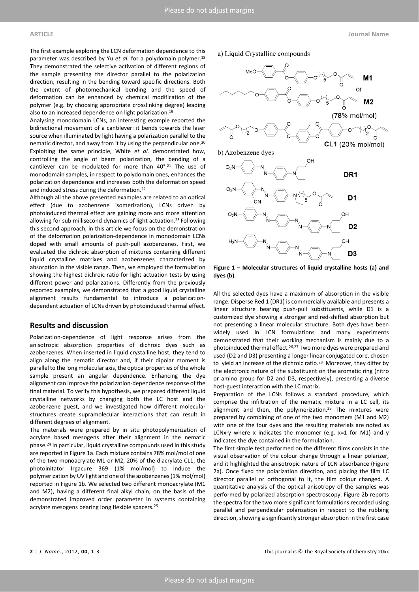Analysing monodomain LCNs, an interesting example reported the bidirectional movement of a cantilever: it bends towards the laser source when illuminated by light having a polarization parallel to the nematic director, and away from it by using the perpendicular one. 20 Exploiting the same principle, White *et al.* demonstrated how, controlling the angle of beam polarization, the bending of a cantilever can be modulated for more than 40°.21 The use of monodomain samples, in respect to polydomain ones, enhances the polarization dependence and increases both the deformation speed and induced stress during the deformation.<sup>22</sup>

Although all the above presented examples are related to an optical effect (due to azobenzene isomerization), LCNs driven by photoinduced thermal effect are gaining more and more attention allowing for sub millisecond dynamics of light actuation.<sup>23</sup> Following this second approach, in this article we focus on the demonstration of the deformation polarization-dependence in monodomain LCNs doped with small amounts of push-pull azobenzenes. First, we evaluated the dichroic absorption of mixtures containing different liquid crystalline matrixes and azobenzenes characterized by absorption in the visible range. Then, we employed the formulation showing the highest dichroic ratio for light actuation tests by using different power and polarizations. Differently from the previously reported examples, we demonstrated that a good liquid crystalline alignment results fundamental to introduce a polarizationdependent actuation of LCNs driven by photoinduced thermal effect.

#### **Results and discussion**

Polarization-dependence of light response arises from the anisotropic absorption properties of dichroic dyes such as azobenzenes. When inserted in liquid crystalline host, they tend to align along the nematic director and, if their dipolar moment is parallel to the long molecular axis, the optical properties of the whole sample present an angular dependence. Enhancing the dye alignment can improve the polarization-dependence response of the final material. To verify this hypothesis, we prepared different liquid crystalline networks by changing both the LC host and the azobenzene guest, and we investigated how different molecular structures create supramolecular interactions that can result in different degrees of alignment.

The materials were prepared by in situ photopolymerization of acrylate based mesogens after their alignment in the nematic phase.24 In particular, liquid crystalline compounds used in this study are reported in Figure 1a. Each mixture contains 78% mol/mol of one of the two monoacrylate M1 or M2, 20% of the diacrylate CL1, the photoinitator Irgacure 369 (1% mol/mol) to induce the polymerization by UV light and one of the azobenzenes (1% mol/mol) reported in Figure 1b. We selected two different monoacrylate (M1 and M2), having a different final alkyl chain, on the basis of the demonstrated improved order parameter in systems containing acrylate mesogens bearing long flexible spacers.25





**Figure 1 – Molecular structures of liquid crystalline hosts (a) and dyes (b).**

All the selected dyes have a maximum of absorption in the visible range. Disperse Red 1 (DR1) is commercially available and presents a linear structure bearing push-pull substituents, while D1 is a customized dye showing a stronger and red-shifted absorption but not presenting a linear molecular structure. Both dyes have been widely used in LCN formulations and many experiments demonstrated that their working mechanism is mainly due to a photoinduced thermal effect.<sup>26,27</sup> Two more dyes were prepared and used (D2 and D3) presenting a longer linear conjugated core, chosen to yield an increase of the dichroic ratio.28 Moreover, they differ by the electronic nature of the substituent on the aromatic ring (nitro or amino group for D2 and D3, respectively), presenting a diverse host-guest interaction with the LC matrix.

Preparation of the LCNs follows a standard procedure, which comprise the infiltration of the nematic mixture in a LC cell, its alignment and then, the polymerization.<sup>29</sup> The mixtures were prepared by combining of one of the two monomers (M1 and M2) with one of the four dyes and the resulting materials are noted as LCNx-y where x indicates the monomer (e.g.  $x=1$  for M1) and y indicates the dye contained in the formulation.

The first simple test performed on the different films consists in the visual observation of the colour change through a linear polarizer, and it highlighted the anisotropic nature of LCN absorbance (Figure 2a). Once fixed the polarization direction, and placing the film LC director parallel or orthogonal to it, the film colour changed. A quantitative analysis of the optical anisotropy of the samples was performed by polarized absorption spectroscopy. Figure 2b reports the spectra for the two more significant formulations recorded using parallel and perpendicular polarization in respect to the rubbing direction, showing a significantly stronger absorption in the first case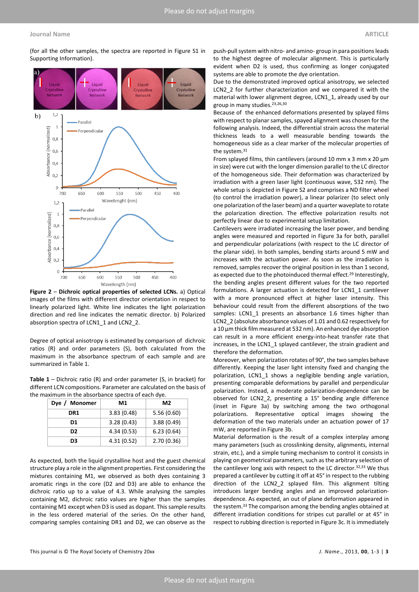(for all the other samples, the spectra are reported in Figure S1 in Supporting Information).



**Figure 2** – **Dichroic optical properties of selected LCNs.** a) Optical images of the films with different director orientation in respect to linearly polarized light. White line indicates the light polarization direction and red line indicates the nematic director. b) Polarized absorption spectra of LCN1\_1 and LCN2\_2.

Degree of optical anisotropy is estimated by comparison of dichroic ratios (R) and order parameters (S), both calculated from the maximum in the absorbance spectrum of each sample and are summarized in Table 1.

**Table 1** – Dichroic ratio (R) and order parameter (S, in bracket) for different LCN compositions. Parameter are calculated on the basis of the maximum in the absorbance spectra of each dye.

| Dye / Monomer  | M1         | M <sub>2</sub> |
|----------------|------------|----------------|
| DR1            | 3.83(0.48) | 5.56(0.60)     |
| D1             | 3.28(0.43) | 3.88(0.49)     |
| D <sub>2</sub> | 4.34(0.53) | 6.23(0.64)     |
| D3             | 4.31(0.52) | 2.70(0.36)     |

As expected, both the liquid crystalline host and the guest chemical structure play a role in the alignment properties. First considering the mixtures containing M1, we observed as both dyes containing 3 aromatic rings in the core (D2 and D3) are able to enhance the dichroic ratio up to a value of 4.3. While analysing the samples containing M2, dichroic ratio values are higher than the samples containing M1 except when D3 is used as dopant. This sample results in the less ordered material of the series. On the other hand, comparing samples containing DR1 and D2, we can observe as the

push-pull system with nitro- and amino- group in para positions leads to the highest degree of molecular alignment. This is particularly evident when D2 is used, thus confirming as longer conjugated systems are able to promote the dye orientation.

Due to the demonstrated improved optical anisotropy, we selected LCN2\_2 for further characterization and we compared it with the material with lower alignment degree, LCN1\_1, already used by our group in many studies.23,26,30

Because of the enhanced deformations presented by splayed films with respect to planar samples, spayed alignment was chosen for the following analysis. Indeed, the differential strain across the material thickness leads to a well measurable bending towards the homogeneous side as a clear marker of the molecular properties of the system.31

From splayed films, thin cantilevers (around 10 mm  $x$  3 mm  $x$  20  $\mu$ m in size) were cut with the longer dimension parallel to the LC director of the homogeneous side. Their deformation was characterized by irradiation with a green laser light (continuous wave, 532 nm). The whole setup is depicted in Figure S2 and comprises a ND filter wheel (to control the irradiation power), a linear polarizer (to select only one polarization of the laser beam) and a quarter waveplate to rotate the polarization direction. The effective polarization results not perfectly linear due to experimental setup limitation.

Cantilevers were irradiated increasing the laser power, and bending angles were measured and reported in Figure 3a for both, parallel and perpendicular polarizations (with respect to the LC director of the planar side). In both samples, bending starts around 5 mW and increases with the actuation power. As soon as the irradiation is removed, samples recover the original position in less than 1 second, as expected due to the photoinduced thermal effect.<sup>29</sup> Interestingly, the bending angles present different values for the two reported formulations. A larger actuation is detected for LCN1\_1 cantilever with a more pronounced effect at higher laser intensity. This behaviour could result from the different absorptions of the two samples: LCN1\_1 presents an absorbance 1.6 times higher than LCN2\_2 (absolute absorbance values of 1.01 and 0.62 respectively for a 10 μm thick film measured at 532 nm). An enhanced dye absorption can result in a more efficient energy-into-heat transfer rate that increases, in the LCN1\_1 splayed cantilever, the strain gradient and therefore the deformation.

Moreover, when polarization rotates of 90°, the two samples behave differently. Keeping the laser light intensity fixed and changing the polarization, LCN1\_1 shows a negligible bending angle variation, presenting comparable deformations by parallel and perpendicular polarization. Instead, a moderate polarization-dependence can be observed for LCN2\_2, presenting a 15° bending angle difference (inset in Figure 3a) by switching among the two orthogonal polarizations. Representative optical images showing the deformation of the two materials under an actuation power of 17 mW, are reported in Figure 3b.

Material deformation is the result of a complex interplay among many parameters (such as crosslinking density, alignments, internal strain, etc.), and a simple tuning mechanism to control it consists in playing on geometrical parameters, such as the arbitrary selection of the cantilever long axis with respect to the LC director. 32,33 We thus prepared a cantilever by cutting it off at 45° in respect to the rubbing direction of the LCN2\_2 splayed film. This alignment tilting introduces larger bending angles and an improved polarizationdependence. As expected, an out of plane deformation appeared in the system.33 The comparison among the bending angles obtained at different irradiation conditions for stripes cut parallel or at 45° in respect to rubbing direction is reported in Figure 3c. It is immediately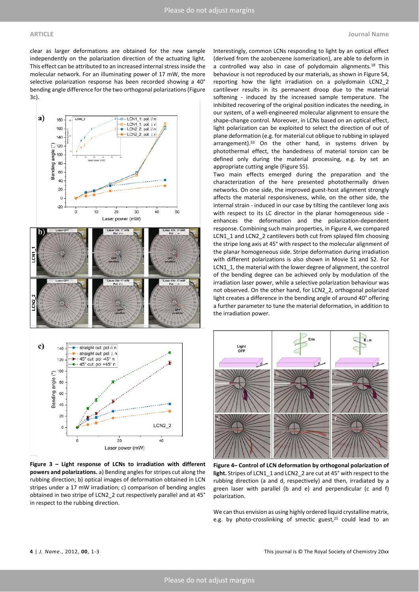clear as larger deformations are obtained for the new sample independently on the polarization direction of the actuating light. This effect can be attributed to an increased internal stress inside the molecular network. For an illuminating power of 17 mW, the more selective polarization response has been recorded showing a 40° bending angle difference for the two orthogonal polarizations (Figure 3c).



**Figure 3 – Light response of LCNs to irradiation with different powers and polarizations.** a) Bending angles for stripes cut along the rubbing direction; b) optical images of deformation obtained in LCN stripes under a 17 mW irradiation; c) comparison of bending angles obtained in two stripe of LCN2\_2 cut respectively parallel and at 45° in respect to the rubbing direction.

Interestingly, common LCNs responding to light by an optical effect (derived from the azobenzene isomerization), are able to deform in a controlled way also in case of polydomain alignments.<sup>18</sup> This behaviour is not reproduced by our materials, as shown in Figure S4, reporting how the light irradiation on a polydomain LCN2\_2 cantilever results in its permanent droop due to the material softening - induced by the increased sample temperature. The inhibited recovering of the original position indicates the needing, in our system, of a well-engineered molecular alignment to ensure the shape-change control. Moreover, in LCNs based on an optical effect, light polarization can be exploited to select the direction of out of plane deformation (e.g. for material cut oblique to rubbing in splayed arrangement).<sup>33</sup> On the other hand, in systems driven by photothermal effect, the handedness of material torsion can be defined only during the material processing, e.g. by set an appropriate cutting angle (Figure S5).

Two main effects emerged during the preparation and the characterization of the here presented photothermally driven networks. On one side, the improved guest-host alignment strongly affects the material responsiveness, while, on the other side, the internal strain - induced in our case by tilting the cantilever long axis with respect to its LC director in the planar homogeneous side enhances the deformation and the polarization-dependent response. Combining such main properties, in Figure 4, we compared LCN1\_1 and LCN2\_2 cantilevers both cut from splayed film choosing the stripe long axis at 45° with respect to the molecular alignment of the planar homogeneous side. Stripe deformation during irradiation with different polarizations is also shown in Movie S1 and S2. For LCN1\_1, the material with the lower degree of alignment, the control of the bending degree can be achieved only by modulation of the irradiation laser power, while a selective polarization behaviour was not observed. On the other hand, for LCN2\_2, orthogonal polarized light creates a difference in the bending angle of around 40° offering a further parameter to tune the material deformation, in addition to the irradiation power.



**Figure 4– Control of LCN deformation by orthogonal polarization of light.** Stripes of LCN1\_1 and LCN2\_2 are cut at 45° with respect to the rubbing direction (a and d, respectively) and then, irradiated by a green laser with parallel (b and e) and perpendicular (c and f) polarization.

We can thus envision as using highly ordered liquid crystalline matrix, e.g. by photo-crosslinking of smectic guest,<sup>25</sup> could lead to an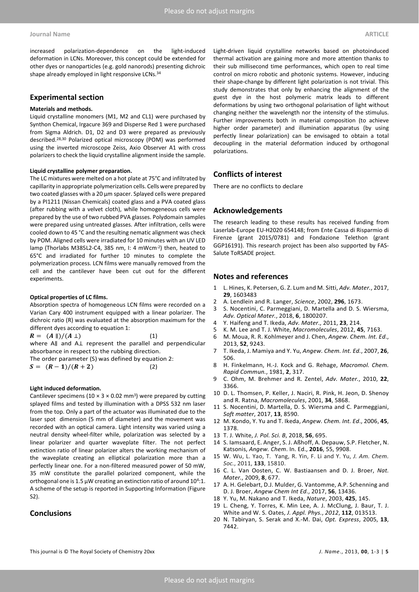increased polarization-dependence on the light-induced deformation in LCNs. Moreover, this concept could be extended for other dyes or nanoparticles (e.g. gold nanorods) presenting dichroic shape already employed in light responsive LCNs.<sup>34</sup>

#### **Experimental section**

#### **Materials and methods.**

Liquid crystalline monomers (M1, M2 and CL1) were purchased by Synthon Chemical, Irgacure 369 and Disperse Red 1 were purchased from Sigma Aldrich. D1, D2 and D3 were prepared as previously described.28,30 Polarized optical microscopy (POM) was performed using the inverted microscope Zeiss, Axio Observer A1 with cross polarizers to check the liquid crystalline alignment inside the sample.

#### **Liquid crystalline polymer preparation.**

The LC mixtures were melted on a hot plate at 75°C and infiltrated by capillarity in appropriate polymerization cells. Cells were prepared by two coated glasses with a 20 μm spacer. Splayed cells were prepared by a PI1211 (Nissan Chemicals) coated glass and a PVA coated glass (after rubbing with a velvet cloth), while homogeneous cells were prepared by the use of two rubbed PVA glasses. Polydomain samples were prepared using untreated glasses. After infiltration, cells were cooled down to 45 °C and the resulting nematic alignment was check by POM. Aligned cells were irradiated for 10 minutes with an UV LED lamp (Thorlabs M385L2-C4, 385 nm, I: 4 mWcm-2) then, heated to 65°C and irradiated for further 10 minutes to complete the polymerization process. LCN films were manually removed from the cell and the cantilever have been cut out for the different experiments.

#### **Optical properties of LC films.**

Absorption spectra of homogeneous LCN films were recorded on a Varian Cary 400 instrument equipped with a linear polarizer. The dichroic ratio (R) was evaluated at the absorption maximum for the different dyes according to equation 1:

 $R = (A \parallel)/(A \perp)$  (1) where A∥ and A⊥ represent the parallel and perpendicular

absorbance in respect to the rubbing direction.

The order parameter (S) was defined by equation 2:

 $S = (R-1)/(R+2)$  (2)

#### **Light induced deformation.**

Cantilever specimens (10  $\times$  3  $\times$  0.02 mm<sup>3</sup>) were prepared by cutting splayed films and tested by illumination with a DPSS 532 nm laser from the top. Only a part of the actuator was illuminated due to the laser spot dimension (5 mm of diameter) and the movement was recorded with an optical camera. Light intensity was varied using a neutral density wheel-filter while, polarization was selected by a linear polarizer and quarter waveplate filter. The not perfect extinction ratio of linear polarizer alters the working mechanism of the waveplate creating an elliptical polarization more than a perfectly linear one. For a non-filtered measured power of 50 mW, 35 mW constitute the parallel polarized component, while the orthogonal one is 1.5  $\mu$ W creating an extinction ratio of around 10<sup>4</sup>:1. A scheme of the setup is reported in Supporting Information (Figure S2).

### **Conclusions**

Light-driven liquid crystalline networks based on photoinduced thermal activation are gaining more and more attention thanks to their sub millisecond time performances, which open to real time control on micro robotic and photonic systems. However, inducing their shape-change by different light polarization is not trivial. This study demonstrates that only by enhancing the alignment of the guest dye in the host polymeric matrix leads to different deformations by using two orthogonal polarisation of light without changing neither the wavelength nor the intensity of the stimulus. Further improvements both in material composition (to achieve higher order parameter) and illumination apparatus (by using perfectly linear polarization) can be envisaged to obtain a total decoupling in the material deformation induced by orthogonal polarizations.

### **Conflicts of interest**

There are no conflicts to declare

#### **Acknowledgements**

The research leading to these results has received funding from Laserlab-Europe EU-H2020 654148; from Ente Cassa di Risparmio di Firenze (grant 2015/0781) and Fondazione Telethon (grant GGP16191). This research project has been also supported by FAS-Salute ToRSADE project.

#### **Notes and references**

- 1 L. Hines, K. Petersen, G. Z. Lum and M. Sitti, *Adv. Mater.*, 2017, **29**, 1603483
- 2 A. Lendlein and R. Langer, *Science*, 2002, **296**, 1673.
- 3 S. Nocentini, C. Parmeggiani, D. Martella and D. S. Wiersma, *Adv. Optical Mater.*, 2018, **6**, 1800207.
- 4 Y. Haifeng and T. Ikeda, *Adv. Mater*., 2011, **23**, 214.
- 5 K. M. Lee and T. J. White, *Macromolecules*, 2012, **45**, 7163.
- 6 M. Moua, R. R. Kohlmeyer and J. Chen, *Angew. Chem. Int. Ed*., 2013, **52**, 9243.
- 7 T. Ikeda, J. Mamiya and Y. Yu, *Angew. Chem. Int. Ed.*, 2007, **26**, 506.
- 8 H. Finkelmann, H.-J. Kock and G. Rehage, *Macromol. Chem. Rapid Commun.*, 1981, **2**, 317.
- 9 C. Ohm, M. Brehmer and R. Zentel, *Adv. Mater.*, 2010, **22**, 3366.
- 10 D. L. Thomsen, P. Keller, J. Naciri, R. Pink, H. Jeon, D. Shenoy and R. Ratna, *Macromolecules*, 2001, **34**, 5868.
- 11 S. Nocentini, D. Martella, D. S. Wiersma and C. Parmeggiani, *Soft matter*, 2017, **13**, 8590.
- 12 M. Kondo, Y. Yu and T. Ikeda, *Angew. Chem. Int. Ed*., 2006, **45**, 1378.
- 13 T. J. White, *J. Pol. Sci. B*, 2018, **56**, 695.
- 14 S. Iamsaard, E. Anger, S. J. Aßhoff, A. Depauw, S.P. Fletcher, N. Katsonis, *Angew. Chem*. In. Ed., **2016**, 55, 9908.
- 15 W. Wu, L. Yao, T. Yang, R. Yin, F. Li and Y. Yu, *J. Am. Chem. Soc.*, 2011, **133**, 15810.
- 16 C. L. Van Oosten, C. W. Bastiaansen and D. J. Broer, *Nat. Mater.*, 2009, **8**, 677.
- 17 A. H. Gelebart, D.J. Mulder, G. Vantomme, A.P. Schenning and D. J. Broer, *Angew Chem Int Ed*., 2017, **56**, 13436.
- 18 Y. Yu, M. Nakano and T. Ikeda, *Nature*, 2003, **425**, 145.
- 19 L. Cheng, Y. Torres, K. Min Lee, A. J. McClung, J. Baur, T. J. White and W. S. Oates, *J. Appl. Phys.*, *2012*, **112**, 013513.
- 20 N. Tabiryan, S. Serak and X.-M. Dai, *Opt. Express*, 2005, **13**, 7442.

This journal is © The Royal Society of Chemistry 20xx *J. Name*., 2013, **00**, 1-3 | **5**